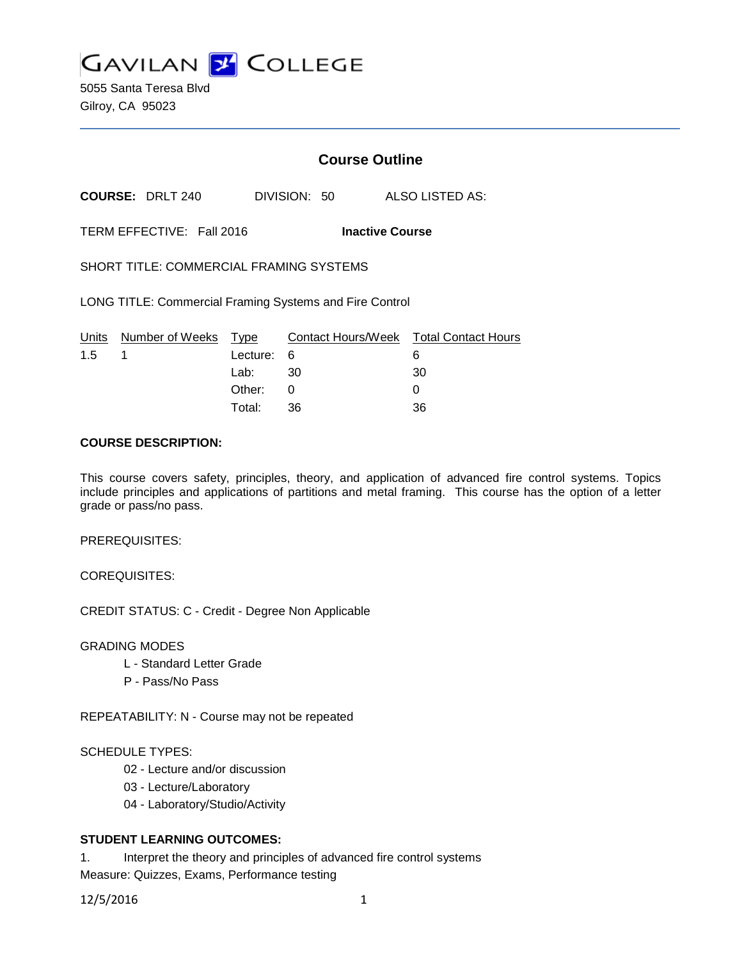

5055 Santa Teresa Blvd Gilroy, CA 95023

# **Course Outline**

**COURSE:** DRLT 240 DIVISION: 50 ALSO LISTED AS:

TERM EFFECTIVE: Fall 2016 **Inactive Course**

SHORT TITLE: COMMERCIAL FRAMING SYSTEMS

LONG TITLE: Commercial Framing Systems and Fire Control

|     | Units Number of Weeks Type |            | Contact Hours/Week Total Contact Hours |    |
|-----|----------------------------|------------|----------------------------------------|----|
| 1.5 |                            | Lecture: 6 |                                        |    |
|     |                            | Lab: _     | - 30                                   | 30 |
|     |                            | Other:     |                                        |    |
|     |                            | Total:     | -36                                    | 36 |

#### **COURSE DESCRIPTION:**

This course covers safety, principles, theory, and application of advanced fire control systems. Topics include principles and applications of partitions and metal framing. This course has the option of a letter grade or pass/no pass.

PREREQUISITES:

COREQUISITES:

CREDIT STATUS: C - Credit - Degree Non Applicable

GRADING MODES

- L Standard Letter Grade
- P Pass/No Pass

REPEATABILITY: N - Course may not be repeated

#### SCHEDULE TYPES:

- 02 Lecture and/or discussion
- 03 Lecture/Laboratory
- 04 Laboratory/Studio/Activity

#### **STUDENT LEARNING OUTCOMES:**

1. Interpret the theory and principles of advanced fire control systems Measure: Quizzes, Exams, Performance testing

12/5/2016 1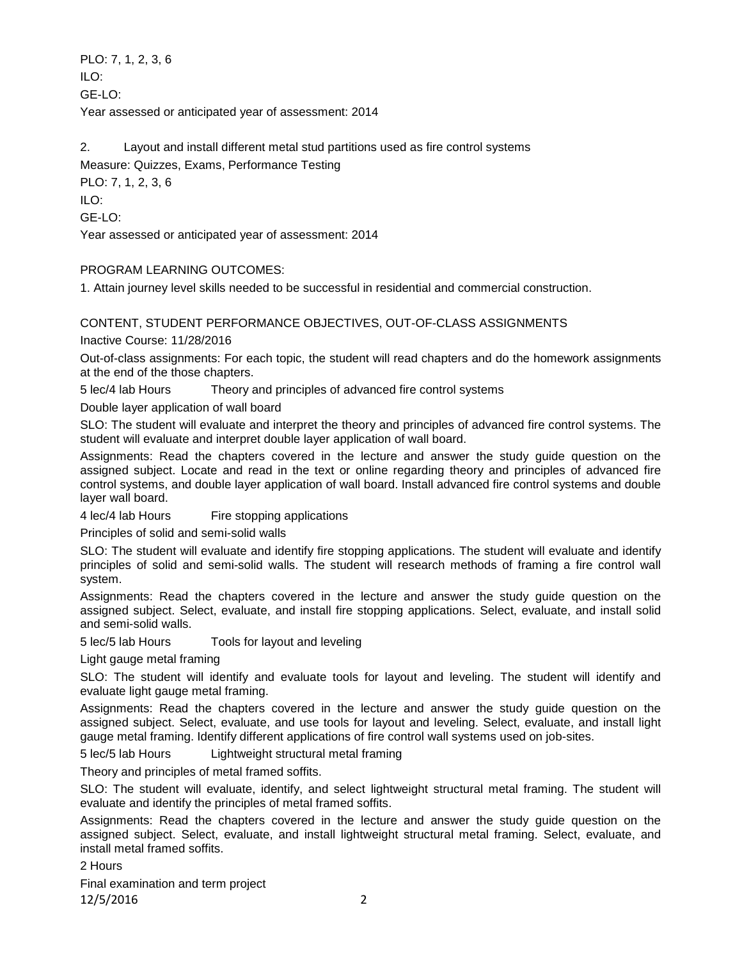PLO: 7, 1, 2, 3, 6  $II$  O: GE-LO: Year assessed or anticipated year of assessment: 2014

2. Layout and install different metal stud partitions used as fire control systems Measure: Quizzes, Exams, Performance Testing PLO: 7, 1, 2, 3, 6 ILO: GE-LO: Year assessed or anticipated year of assessment: 2014

# PROGRAM LEARNING OUTCOMES:

1. Attain journey level skills needed to be successful in residential and commercial construction.

# CONTENT, STUDENT PERFORMANCE OBJECTIVES, OUT-OF-CLASS ASSIGNMENTS

Inactive Course: 11/28/2016

Out-of-class assignments: For each topic, the student will read chapters and do the homework assignments at the end of the those chapters.

5 lec/4 lab Hours Theory and principles of advanced fire control systems

Double layer application of wall board

SLO: The student will evaluate and interpret the theory and principles of advanced fire control systems. The student will evaluate and interpret double layer application of wall board.

Assignments: Read the chapters covered in the lecture and answer the study guide question on the assigned subject. Locate and read in the text or online regarding theory and principles of advanced fire control systems, and double layer application of wall board. Install advanced fire control systems and double layer wall board.

4 lec/4 lab Hours Fire stopping applications

Principles of solid and semi-solid walls

SLO: The student will evaluate and identify fire stopping applications. The student will evaluate and identify principles of solid and semi-solid walls. The student will research methods of framing a fire control wall system.

Assignments: Read the chapters covered in the lecture and answer the study guide question on the assigned subject. Select, evaluate, and install fire stopping applications. Select, evaluate, and install solid and semi-solid walls.

5 lec/5 lab Hours Tools for layout and leveling

Light gauge metal framing

SLO: The student will identify and evaluate tools for layout and leveling. The student will identify and evaluate light gauge metal framing.

Assignments: Read the chapters covered in the lecture and answer the study guide question on the assigned subject. Select, evaluate, and use tools for layout and leveling. Select, evaluate, and install light gauge metal framing. Identify different applications of fire control wall systems used on job-sites.

5 lec/5 lab Hours Lightweight structural metal framing

Theory and principles of metal framed soffits.

SLO: The student will evaluate, identify, and select lightweight structural metal framing. The student will evaluate and identify the principles of metal framed soffits.

Assignments: Read the chapters covered in the lecture and answer the study guide question on the assigned subject. Select, evaluate, and install lightweight structural metal framing. Select, evaluate, and install metal framed soffits.

2 Hours

Final examination and term project 12/5/2016 2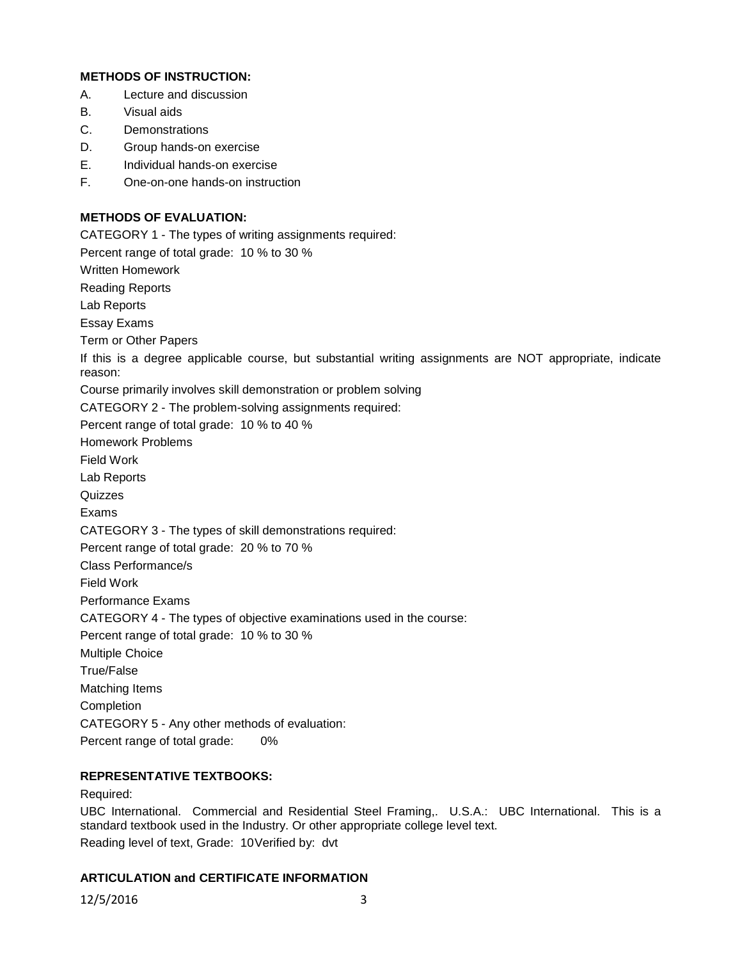# **METHODS OF INSTRUCTION:**

- A. Lecture and discussion
- B. Visual aids
- C. Demonstrations
- D. Group hands-on exercise
- E. Individual hands-on exercise
- F. One-on-one hands-on instruction

# **METHODS OF EVALUATION:**

CATEGORY 1 - The types of writing assignments required: Percent range of total grade: 10 % to 30 % Written Homework Reading Reports Lab Reports Essay Exams Term or Other Papers If this is a degree applicable course, but substantial writing assignments are NOT appropriate, indicate reason: Course primarily involves skill demonstration or problem solving CATEGORY 2 - The problem-solving assignments required: Percent range of total grade: 10 % to 40 % Homework Problems Field Work Lab Reports Quizzes Exams CATEGORY 3 - The types of skill demonstrations required: Percent range of total grade: 20 % to 70 % Class Performance/s Field Work Performance Exams CATEGORY 4 - The types of objective examinations used in the course: Percent range of total grade: 10 % to 30 % Multiple Choice True/False Matching Items Completion CATEGORY 5 - Any other methods of evaluation: Percent range of total grade: 0%

# **REPRESENTATIVE TEXTBOOKS:**

Required:

UBC International. Commercial and Residential Steel Framing,. U.S.A.: UBC International. This is a standard textbook used in the Industry. Or other appropriate college level text. Reading level of text, Grade: 10Verified by: dvt

#### **ARTICULATION and CERTIFICATE INFORMATION**

12/5/2016 3